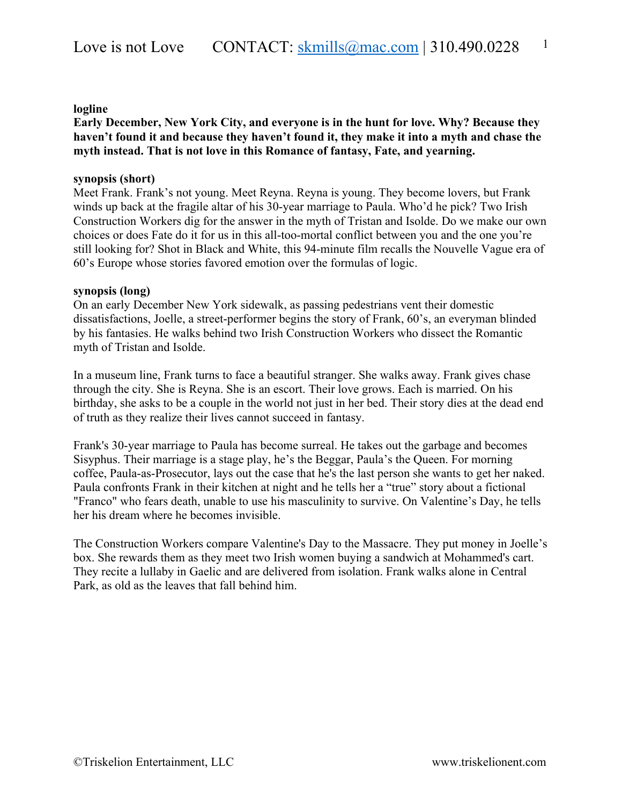### **logline**

**Early December, New York City, and everyone is in the hunt for love. Why? Because they haven't found it and because they haven't found it, they make it into a myth and chase the myth instead. That is not love in this Romance of fantasy, Fate, and yearning.**

# **synopsis (short)**

Meet Frank. Frank's not young. Meet Reyna. Reyna is young. They become lovers, but Frank winds up back at the fragile altar of his 30-year marriage to Paula. Who'd he pick? Two Irish Construction Workers dig for the answer in the myth of Tristan and Isolde. Do we make our own choices or does Fate do it for us in this all-too-mortal conflict between you and the one you're still looking for? Shot in Black and White, this 94-minute film recalls the Nouvelle Vague era of 60's Europe whose stories favored emotion over the formulas of logic.

# **synopsis (long)**

On an early December New York sidewalk, as passing pedestrians vent their domestic dissatisfactions, Joelle, a street-performer begins the story of Frank, 60's, an everyman blinded by his fantasies. He walks behind two Irish Construction Workers who dissect the Romantic myth of Tristan and Isolde.

In a museum line, Frank turns to face a beautiful stranger. She walks away. Frank gives chase through the city. She is Reyna. She is an escort. Their love grows. Each is married. On his birthday, she asks to be a couple in the world not just in her bed. Their story dies at the dead end of truth as they realize their lives cannot succeed in fantasy.

Frank's 30-year marriage to Paula has become surreal. He takes out the garbage and becomes Sisyphus. Their marriage is a stage play, he's the Beggar, Paula's the Queen. For morning coffee, Paula-as-Prosecutor, lays out the case that he's the last person she wants to get her naked. Paula confronts Frank in their kitchen at night and he tells her a "true" story about a fictional "Franco" who fears death, unable to use his masculinity to survive. On Valentine's Day, he tells her his dream where he becomes invisible.

The Construction Workers compare Valentine's Day to the Massacre. They put money in Joelle's box. She rewards them as they meet two Irish women buying a sandwich at Mohammed's cart. They recite a lullaby in Gaelic and are delivered from isolation. Frank walks alone in Central Park, as old as the leaves that fall behind him.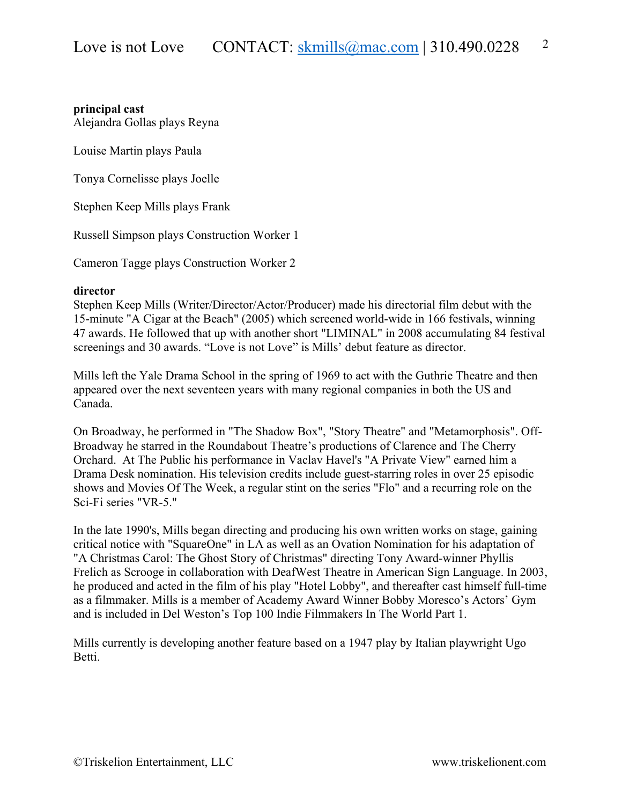# **principal cast**

Alejandra Gollas plays Reyna

Louise Martin plays Paula

Tonya Cornelisse plays Joelle

Stephen Keep Mills plays Frank

Russell Simpson plays Construction Worker 1

Cameron Tagge plays Construction Worker 2

### **director**

Stephen Keep Mills (Writer/Director/Actor/Producer) made his directorial film debut with the 15-minute "A Cigar at the Beach" (2005) which screened world-wide in 166 festivals, winning 47 awards. He followed that up with another short "LIMINAL" in 2008 accumulating 84 festival screenings and 30 awards. "Love is not Love" is Mills' debut feature as director.

Mills left the Yale Drama School in the spring of 1969 to act with the Guthrie Theatre and then appeared over the next seventeen years with many regional companies in both the US and Canada.

On Broadway, he performed in "The Shadow Box", "Story Theatre" and "Metamorphosis". Off-Broadway he starred in the Roundabout Theatre's productions of Clarence and The Cherry Orchard. At The Public his performance in Vaclav Havel's "A Private View" earned him a Drama Desk nomination. His television credits include guest-starring roles in over 25 episodic shows and Movies Of The Week, a regular stint on the series "Flo" and a recurring role on the Sci-Fi series "VR-5."

In the late 1990's, Mills began directing and producing his own written works on stage, gaining critical notice with "SquareOne" in LA as well as an Ovation Nomination for his adaptation of "A Christmas Carol: The Ghost Story of Christmas" directing Tony Award-winner Phyllis Frelich as Scrooge in collaboration with DeafWest Theatre in American Sign Language. In 2003, he produced and acted in the film of his play "Hotel Lobby", and thereafter cast himself full-time as a filmmaker. Mills is a member of Academy Award Winner Bobby Moresco's Actors' Gym and is included in Del Weston's Top 100 Indie Filmmakers In The World Part 1.

Mills currently is developing another feature based on a 1947 play by Italian playwright Ugo Betti.